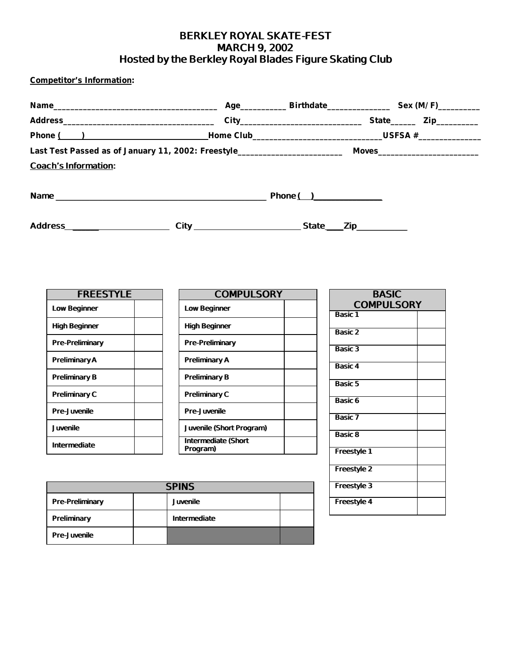### **BERKLEY ROYAL SKATE-FEST MARCH 9, 2002 Hosted by the Berkley Royal Blades Figure Skating Club**

**Competitor's Information:**

| Last Test Passed as of January 11, 2002: Freestyle_________________________ |                  | Moves____________________________ |
|-----------------------------------------------------------------------------|------------------|-----------------------------------|
| <b>Coach's Information:</b>                                                 |                  |                                   |
|                                                                             | <b>Phone ( )</b> |                                   |
| Address <b>Management Community</b>                                         |                  | <b>_Zip</b> ___________           |

| <b>FREESTYLE</b>       |  |  |
|------------------------|--|--|
| <b>Low Beginner</b>    |  |  |
| <b>High Beginner</b>   |  |  |
| <b>Pre-Preliminary</b> |  |  |
| <b>Preliminary A</b>   |  |  |
| <b>Preliminary B</b>   |  |  |
| <b>Preliminary C</b>   |  |  |
| <b>Pre-Juvenile</b>    |  |  |
| <b>Juvenile</b>        |  |  |
| <b>Intermediate</b>    |  |  |

| <b>COMPULSORY</b>                      |  |  |  |
|----------------------------------------|--|--|--|
| <b>Low Beginner</b>                    |  |  |  |
| High Beginner                          |  |  |  |
| <b>Pre-Preliminary</b>                 |  |  |  |
| <b>Preliminary A</b>                   |  |  |  |
| <b>Preliminary B</b>                   |  |  |  |
| <b>Preliminary C</b>                   |  |  |  |
| <b>Pre-Juvenile</b>                    |  |  |  |
| <b>Juvenile (Short Program)</b>        |  |  |  |
| <b>Intermediate (Short</b><br>Program) |  |  |  |

| <b>BASIC</b><br><b>COMPULSORY</b> |  |  |  |  |
|-----------------------------------|--|--|--|--|
| <b>Basic 1</b>                    |  |  |  |  |
| <b>Basic 2</b>                    |  |  |  |  |
| <b>Basic 3</b>                    |  |  |  |  |
| <b>Basic 4</b>                    |  |  |  |  |
| <b>Basic 5</b>                    |  |  |  |  |
| <b>Basic 6</b>                    |  |  |  |  |
| <b>Basic 7</b>                    |  |  |  |  |
| <b>Basic 8</b>                    |  |  |  |  |
| <b>Freestyle 1</b>                |  |  |  |  |
| <b>Freestyle 2</b>                |  |  |  |  |
| <b>Freestyle 3</b>                |  |  |  |  |
| <b>Freestyle 4</b>                |  |  |  |  |

| <b>SPINS</b>           |  |                     |  |
|------------------------|--|---------------------|--|
| <b>Pre-Preliminary</b> |  | <b>Juvenile</b>     |  |
| <b>Preliminary</b>     |  | <b>Intermediate</b> |  |
| <b>Pre-Juvenile</b>    |  |                     |  |